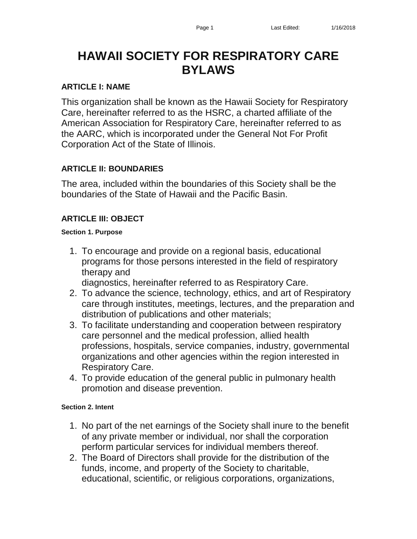# **HAWAII SOCIETY FOR RESPIRATORY CARE BYLAWS**

# **ARTICLE I: NAME**

This organization shall be known as the Hawaii Society for Respiratory Care, hereinafter referred to as the HSRC, a charted affiliate of the American Association for Respiratory Care, hereinafter referred to as the AARC, which is incorporated under the General Not For Profit Corporation Act of the State of Illinois.

# **ARTICLE II: BOUNDARIES**

The area, included within the boundaries of this Society shall be the boundaries of the State of Hawaii and the Pacific Basin.

# **ARTICLE III: OBJECT**

### **Section 1. Purpose**

1. To encourage and provide on a regional basis, educational programs for those persons interested in the field of respiratory therapy and

diagnostics, hereinafter referred to as Respiratory Care.

- 2. To advance the science, technology, ethics, and art of Respiratory care through institutes, meetings, lectures, and the preparation and distribution of publications and other materials;
- 3. To facilitate understanding and cooperation between respiratory care personnel and the medical profession, allied health professions, hospitals, service companies, industry, governmental organizations and other agencies within the region interested in Respiratory Care.
- 4. To provide education of the general public in pulmonary health promotion and disease prevention.

### **Section 2. Intent**

- 1. No part of the net earnings of the Society shall inure to the benefit of any private member or individual, nor shall the corporation perform particular services for individual members thereof.
- 2. The Board of Directors shall provide for the distribution of the funds, income, and property of the Society to charitable, educational, scientific, or religious corporations, organizations,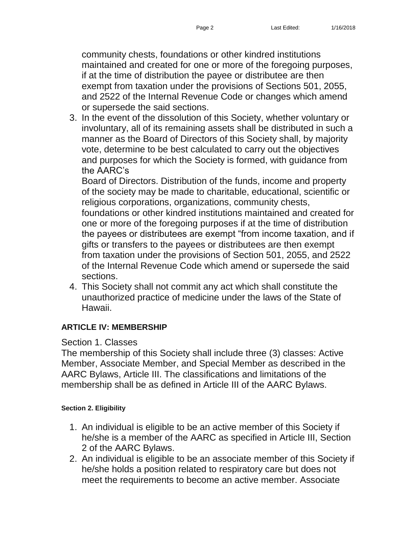community chests, foundations or other kindred institutions maintained and created for one or more of the foregoing purposes, if at the time of distribution the payee or distributee are then exempt from taxation under the provisions of Sections 501, 2055, and 2522 of the Internal Revenue Code or changes which amend or supersede the said sections.

3. In the event of the dissolution of this Society, whether voluntary or involuntary, all of its remaining assets shall be distributed in such a manner as the Board of Directors of this Society shall, by majority vote, determine to be best calculated to carry out the objectives and purposes for which the Society is formed, with guidance from the AARC's

Board of Directors. Distribution of the funds, income and property of the society may be made to charitable, educational, scientific or religious corporations, organizations, community chests,

foundations or other kindred institutions maintained and created for one or more of the foregoing purposes if at the time of distribution the payees or distributees are exempt "from income taxation, and if gifts or transfers to the payees or distributees are then exempt from taxation under the provisions of Section 501, 2055, and 2522 of the Internal Revenue Code which amend or supersede the said sections.

4. This Society shall not commit any act which shall constitute the unauthorized practice of medicine under the laws of the State of Hawaii.

# **ARTICLE IV: MEMBERSHIP**

# Section 1. Classes

The membership of this Society shall include three (3) classes: Active Member, Associate Member, and Special Member as described in the AARC Bylaws, Article III. The classifications and limitations of the membership shall be as defined in Article III of the AARC Bylaws.

# **Section 2. Eligibility**

- 1. An individual is eligible to be an active member of this Society if he/she is a member of the AARC as specified in Article III, Section 2 of the AARC Bylaws.
- 2. An individual is eligible to be an associate member of this Society if he/she holds a position related to respiratory care but does not meet the requirements to become an active member. Associate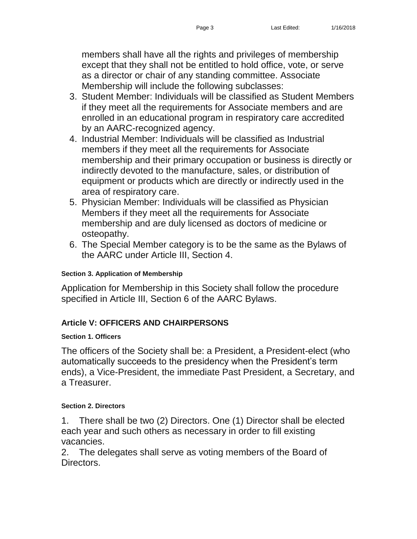members shall have all the rights and privileges of membership except that they shall not be entitled to hold office, vote, or serve as a director or chair of any standing committee. Associate Membership will include the following subclasses:

- 3. Student Member: Individuals will be classified as Student Members if they meet all the requirements for Associate members and are enrolled in an educational program in respiratory care accredited by an AARC-recognized agency.
- 4. Industrial Member: Individuals will be classified as Industrial members if they meet all the requirements for Associate membership and their primary occupation or business is directly or indirectly devoted to the manufacture, sales, or distribution of equipment or products which are directly or indirectly used in the area of respiratory care.
- 5. Physician Member: Individuals will be classified as Physician Members if they meet all the requirements for Associate membership and are duly licensed as doctors of medicine or osteopathy.
- 6. The Special Member category is to be the same as the Bylaws of the AARC under Article III, Section 4.

### **Section 3. Application of Membership**

Application for Membership in this Society shall follow the procedure specified in Article III, Section 6 of the AARC Bylaws.

# **Article V: OFFICERS AND CHAIRPERSONS**

### **Section 1. Officers**

The officers of the Society shall be: a President, a President-elect (who automatically succeeds to the presidency when the President's term ends), a Vice-President, the immediate Past President, a Secretary, and a Treasurer.

### **Section 2. Directors**

1. There shall be two (2) Directors. One (1) Director shall be elected each year and such others as necessary in order to fill existing vacancies.

2. The delegates shall serve as voting members of the Board of Directors.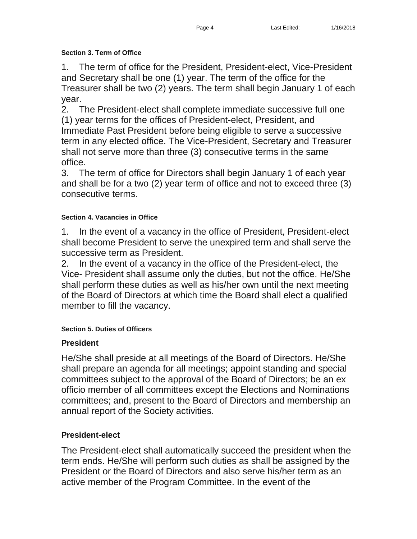### **Section 3. Term of Office**

1. The term of office for the President, President-elect, Vice-President and Secretary shall be one (1) year. The term of the office for the Treasurer shall be two (2) years. The term shall begin January 1 of each year.

2. The President-elect shall complete immediate successive full one (1) year terms for the offices of President-elect, President, and Immediate Past President before being eligible to serve a successive term in any elected office. The Vice-President, Secretary and Treasurer shall not serve more than three (3) consecutive terms in the same office.

3. The term of office for Directors shall begin January 1 of each year and shall be for a two (2) year term of office and not to exceed three (3) consecutive terms.

# **Section 4. Vacancies in Office**

1. In the event of a vacancy in the office of President, President-elect shall become President to serve the unexpired term and shall serve the successive term as President.

2. In the event of a vacancy in the office of the President-elect, the Vice- President shall assume only the duties, but not the office. He/She shall perform these duties as well as his/her own until the next meeting of the Board of Directors at which time the Board shall elect a qualified member to fill the vacancy.

# **Section 5. Duties of Officers**

# **President**

He/She shall preside at all meetings of the Board of Directors. He/She shall prepare an agenda for all meetings; appoint standing and special committees subject to the approval of the Board of Directors; be an ex officio member of all committees except the Elections and Nominations committees; and, present to the Board of Directors and membership an annual report of the Society activities.

# **President-elect**

The President-elect shall automatically succeed the president when the term ends. He/She will perform such duties as shall be assigned by the President or the Board of Directors and also serve his/her term as an active member of the Program Committee. In the event of the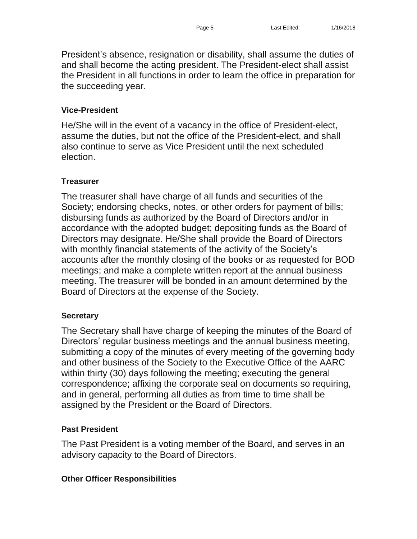# **Vice-President**

He/She will in the event of a vacancy in the office of President-elect, assume the duties, but not the office of the President-elect, and shall also continue to serve as Vice President until the next scheduled election.

# **Treasurer**

The treasurer shall have charge of all funds and securities of the Society; endorsing checks, notes, or other orders for payment of bills; disbursing funds as authorized by the Board of Directors and/or in accordance with the adopted budget; depositing funds as the Board of Directors may designate. He/She shall provide the Board of Directors with monthly financial statements of the activity of the Society's accounts after the monthly closing of the books or as requested for BOD meetings; and make a complete written report at the annual business meeting. The treasurer will be bonded in an amount determined by the Board of Directors at the expense of the Society.

# **Secretary**

The Secretary shall have charge of keeping the minutes of the Board of Directors' regular business meetings and the annual business meeting, submitting a copy of the minutes of every meeting of the governing body and other business of the Society to the Executive Office of the AARC within thirty (30) days following the meeting; executing the general correspondence; affixing the corporate seal on documents so requiring, and in general, performing all duties as from time to time shall be assigned by the President or the Board of Directors.

# **Past President**

The Past President is a voting member of the Board, and serves in an advisory capacity to the Board of Directors.

# **Other Officer Responsibilities**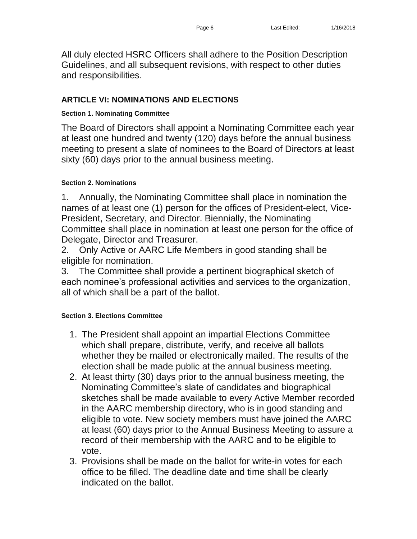All duly elected HSRC Officers shall adhere to the Position Description Guidelines, and all subsequent revisions, with respect to other duties and responsibilities.

# **ARTICLE VI: NOMINATIONS AND ELECTIONS**

# **Section 1. Nominating Committee**

The Board of Directors shall appoint a Nominating Committee each year at least one hundred and twenty (120) days before the annual business meeting to present a slate of nominees to the Board of Directors at least sixty (60) days prior to the annual business meeting.

# **Section 2. Nominations**

1. Annually, the Nominating Committee shall place in nomination the names of at least one (1) person for the offices of President-elect, Vice-President, Secretary, and Director. Biennially, the Nominating Committee shall place in nomination at least one person for the office of Delegate, Director and Treasurer.

2. Only Active or AARC Life Members in good standing shall be eligible for nomination.

3. The Committee shall provide a pertinent biographical sketch of each nominee's professional activities and services to the organization, all of which shall be a part of the ballot.

# **Section 3. Elections Committee**

- 1. The President shall appoint an impartial Elections Committee which shall prepare, distribute, verify, and receive all ballots whether they be mailed or electronically mailed. The results of the election shall be made public at the annual business meeting.
- 2. At least thirty (30) days prior to the annual business meeting, the Nominating Committee's slate of candidates and biographical sketches shall be made available to every Active Member recorded in the AARC membership directory, who is in good standing and eligible to vote. New society members must have joined the AARC at least (60) days prior to the Annual Business Meeting to assure a record of their membership with the AARC and to be eligible to vote.
- 3. Provisions shall be made on the ballot for write-in votes for each office to be filled. The deadline date and time shall be clearly indicated on the ballot.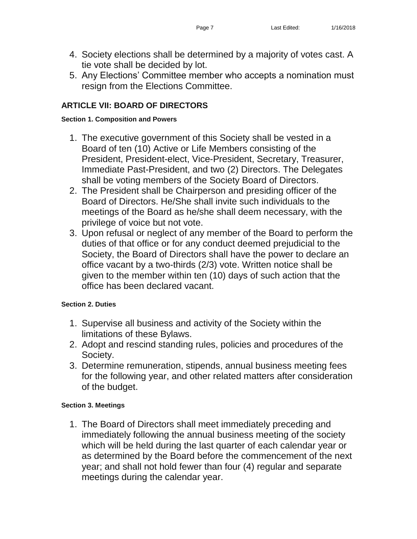- 4. Society elections shall be determined by a majority of votes cast. A tie vote shall be decided by lot.
- 5. Any Elections' Committee member who accepts a nomination must resign from the Elections Committee.

# **ARTICLE VII: BOARD OF DIRECTORS**

### **Section 1. Composition and Powers**

- 1. The executive government of this Society shall be vested in a Board of ten (10) Active or Life Members consisting of the President, President-elect, Vice-President, Secretary, Treasurer, Immediate Past-President, and two (2) Directors. The Delegates shall be voting members of the Society Board of Directors.
- 2. The President shall be Chairperson and presiding officer of the Board of Directors. He/She shall invite such individuals to the meetings of the Board as he/she shall deem necessary, with the privilege of voice but not vote.
- 3. Upon refusal or neglect of any member of the Board to perform the duties of that office or for any conduct deemed prejudicial to the Society, the Board of Directors shall have the power to declare an office vacant by a two-thirds (2/3) vote. Written notice shall be given to the member within ten (10) days of such action that the office has been declared vacant.

# **Section 2. Duties**

- 1. Supervise all business and activity of the Society within the limitations of these Bylaws.
- 2. Adopt and rescind standing rules, policies and procedures of the Society.
- 3. Determine remuneration, stipends, annual business meeting fees for the following year, and other related matters after consideration of the budget.

# **Section 3. Meetings**

1. The Board of Directors shall meet immediately preceding and immediately following the annual business meeting of the society which will be held during the last quarter of each calendar year or as determined by the Board before the commencement of the next year; and shall not hold fewer than four (4) regular and separate meetings during the calendar year.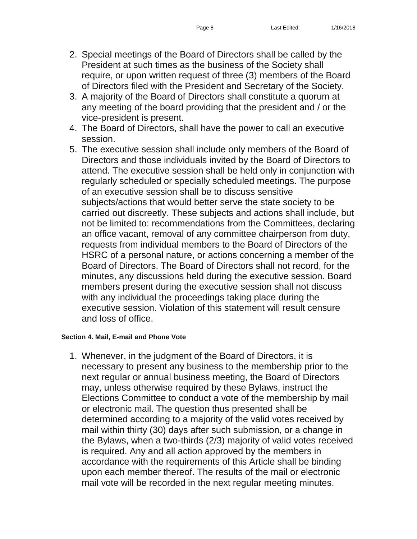- 2. Special meetings of the Board of Directors shall be called by the President at such times as the business of the Society shall require, or upon written request of three (3) members of the Board of Directors filed with the President and Secretary of the Society.
- 3. A majority of the Board of Directors shall constitute a quorum at any meeting of the board providing that the president and / or the vice-president is present.
- 4. The Board of Directors, shall have the power to call an executive session.
- 5. The executive session shall include only members of the Board of Directors and those individuals invited by the Board of Directors to attend. The executive session shall be held only in conjunction with regularly scheduled or specially scheduled meetings. The purpose of an executive session shall be to discuss sensitive subjects/actions that would better serve the state society to be carried out discreetly. These subjects and actions shall include, but not be limited to: recommendations from the Committees, declaring an office vacant, removal of any committee chairperson from duty, requests from individual members to the Board of Directors of the HSRC of a personal nature, or actions concerning a member of the Board of Directors. The Board of Directors shall not record, for the minutes, any discussions held during the executive session. Board members present during the executive session shall not discuss with any individual the proceedings taking place during the executive session. Violation of this statement will result censure and loss of office.

### **Section 4. Mail, E-mail and Phone Vote**

1. Whenever, in the judgment of the Board of Directors, it is necessary to present any business to the membership prior to the next regular or annual business meeting, the Board of Directors may, unless otherwise required by these Bylaws, instruct the Elections Committee to conduct a vote of the membership by mail or electronic mail. The question thus presented shall be determined according to a majority of the valid votes received by mail within thirty (30) days after such submission, or a change in the Bylaws, when a two-thirds (2/3) majority of valid votes received is required. Any and all action approved by the members in accordance with the requirements of this Article shall be binding upon each member thereof. The results of the mail or electronic mail vote will be recorded in the next regular meeting minutes.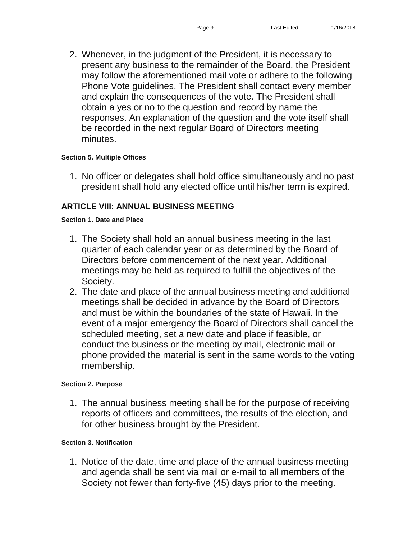2. Whenever, in the judgment of the President, it is necessary to present any business to the remainder of the Board, the President may follow the aforementioned mail vote or adhere to the following Phone Vote guidelines. The President shall contact every member and explain the consequences of the vote. The President shall obtain a yes or no to the question and record by name the responses. An explanation of the question and the vote itself shall be recorded in the next regular Board of Directors meeting minutes.

#### **Section 5. Multiple Offices**

1. No officer or delegates shall hold office simultaneously and no past president shall hold any elected office until his/her term is expired.

# **ARTICLE VIII: ANNUAL BUSINESS MEETING**

#### **Section 1. Date and Place**

- 1. The Society shall hold an annual business meeting in the last quarter of each calendar year or as determined by the Board of Directors before commencement of the next year. Additional meetings may be held as required to fulfill the objectives of the Society.
- 2. The date and place of the annual business meeting and additional meetings shall be decided in advance by the Board of Directors and must be within the boundaries of the state of Hawaii. In the event of a major emergency the Board of Directors shall cancel the scheduled meeting, set a new date and place if feasible, or conduct the business or the meeting by mail, electronic mail or phone provided the material is sent in the same words to the voting membership.

#### **Section 2. Purpose**

1. The annual business meeting shall be for the purpose of receiving reports of officers and committees, the results of the election, and for other business brought by the President.

#### **Section 3. Notification**

1. Notice of the date, time and place of the annual business meeting and agenda shall be sent via mail or e-mail to all members of the Society not fewer than forty-five (45) days prior to the meeting.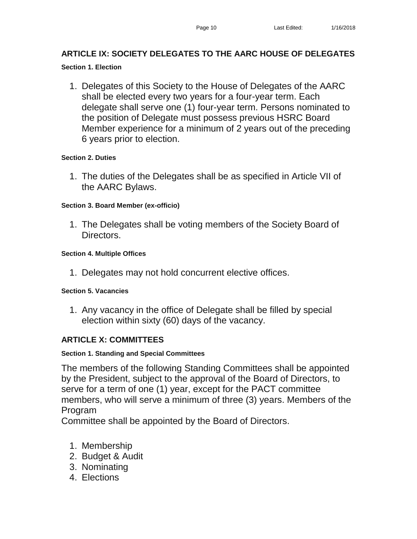# **ARTICLE IX: SOCIETY DELEGATES TO THE AARC HOUSE OF DELEGATES**

### **Section 1. Election**

1. Delegates of this Society to the House of Delegates of the AARC shall be elected every two years for a four-year term. Each delegate shall serve one (1) four-year term. Persons nominated to the position of Delegate must possess previous HSRC Board Member experience for a minimum of 2 years out of the preceding 6 years prior to election.

### **Section 2. Duties**

1. The duties of the Delegates shall be as specified in Article VII of the AARC Bylaws.

### **Section 3. Board Member (ex-officio)**

1. The Delegates shall be voting members of the Society Board of Directors.

### **Section 4. Multiple Offices**

1. Delegates may not hold concurrent elective offices.

### **Section 5. Vacancies**

1. Any vacancy in the office of Delegate shall be filled by special election within sixty (60) days of the vacancy.

# **ARTICLE X: COMMITTEES**

# **Section 1. Standing and Special Committees**

The members of the following Standing Committees shall be appointed by the President, subject to the approval of the Board of Directors, to serve for a term of one (1) year, except for the PACT committee members, who will serve a minimum of three (3) years. Members of the Program

Committee shall be appointed by the Board of Directors.

- 1. Membership
- 2. Budget & Audit
- 3. Nominating
- 4. Elections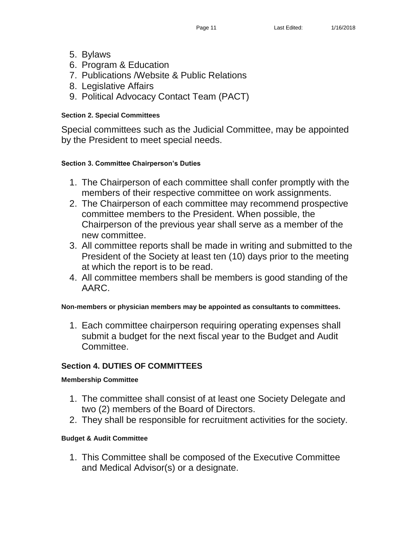- 5. Bylaws
- 6. Program & Education
- 7. Publications /Website & Public Relations
- 8. Legislative Affairs
- 9. Political Advocacy Contact Team (PACT)

### **Section 2. Special Committees**

Special committees such as the Judicial Committee, may be appointed by the President to meet special needs.

### **Section 3. Committee Chairperson's Duties**

- 1. The Chairperson of each committee shall confer promptly with the members of their respective committee on work assignments.
- 2. The Chairperson of each committee may recommend prospective committee members to the President. When possible, the Chairperson of the previous year shall serve as a member of the new committee.
- 3. All committee reports shall be made in writing and submitted to the President of the Society at least ten (10) days prior to the meeting at which the report is to be read.
- 4. All committee members shall be members is good standing of the AARC.

### **Non-members or physician members may be appointed as consultants to committees.**

1. Each committee chairperson requiring operating expenses shall submit a budget for the next fiscal year to the Budget and Audit Committee.

# **Section 4. DUTIES OF COMMITTEES**

### **Membership Committee**

- 1. The committee shall consist of at least one Society Delegate and two (2) members of the Board of Directors.
- 2. They shall be responsible for recruitment activities for the society.

### **Budget & Audit Committee**

1. This Committee shall be composed of the Executive Committee and Medical Advisor(s) or a designate.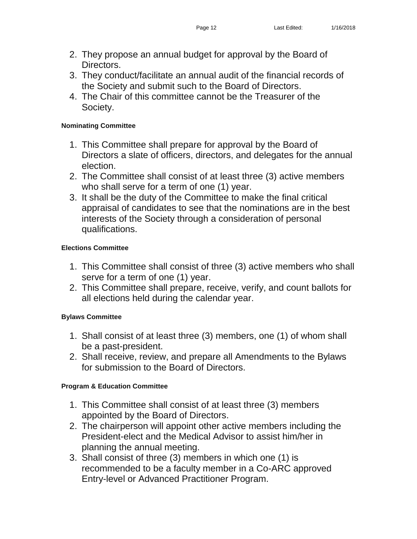- 2. They propose an annual budget for approval by the Board of Directors.
- 3. They conduct/facilitate an annual audit of the financial records of the Society and submit such to the Board of Directors.
- 4. The Chair of this committee cannot be the Treasurer of the Society.

# **Nominating Committee**

- 1. This Committee shall prepare for approval by the Board of Directors a slate of officers, directors, and delegates for the annual election.
- 2. The Committee shall consist of at least three (3) active members who shall serve for a term of one (1) year.
- 3. It shall be the duty of the Committee to make the final critical appraisal of candidates to see that the nominations are in the best interests of the Society through a consideration of personal qualifications.

# **Elections Committee**

- 1. This Committee shall consist of three (3) active members who shall serve for a term of one (1) year.
- 2. This Committee shall prepare, receive, verify, and count ballots for all elections held during the calendar year.

# **Bylaws Committee**

- 1. Shall consist of at least three (3) members, one (1) of whom shall be a past-president.
- 2. Shall receive, review, and prepare all Amendments to the Bylaws for submission to the Board of Directors.

# **Program & Education Committee**

- 1. This Committee shall consist of at least three (3) members appointed by the Board of Directors.
- 2. The chairperson will appoint other active members including the President-elect and the Medical Advisor to assist him/her in planning the annual meeting.
- 3. Shall consist of three (3) members in which one (1) is recommended to be a faculty member in a Co-ARC approved Entry-level or Advanced Practitioner Program.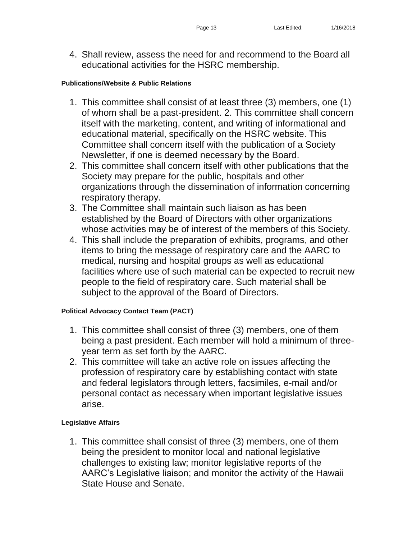4. Shall review, assess the need for and recommend to the Board all educational activities for the HSRC membership.

#### **Publications/Website & Public Relations**

- 1. This committee shall consist of at least three (3) members, one (1) of whom shall be a past-president. 2. This committee shall concern itself with the marketing, content, and writing of informational and educational material, specifically on the HSRC website. This Committee shall concern itself with the publication of a Society Newsletter, if one is deemed necessary by the Board.
- 2. This committee shall concern itself with other publications that the Society may prepare for the public, hospitals and other organizations through the dissemination of information concerning respiratory therapy.
- 3. The Committee shall maintain such liaison as has been established by the Board of Directors with other organizations whose activities may be of interest of the members of this Society.
- 4. This shall include the preparation of exhibits, programs, and other items to bring the message of respiratory care and the AARC to medical, nursing and hospital groups as well as educational facilities where use of such material can be expected to recruit new people to the field of respiratory care. Such material shall be subject to the approval of the Board of Directors.

### **Political Advocacy Contact Team (PACT)**

- 1. This committee shall consist of three (3) members, one of them being a past president. Each member will hold a minimum of threeyear term as set forth by the AARC.
- 2. This committee will take an active role on issues affecting the profession of respiratory care by establishing contact with state and federal legislators through letters, facsimiles, e-mail and/or personal contact as necessary when important legislative issues arise.

### **Legislative Affairs**

1. This committee shall consist of three (3) members, one of them being the president to monitor local and national legislative challenges to existing law; monitor legislative reports of the AARC's Legislative liaison; and monitor the activity of the Hawaii State House and Senate.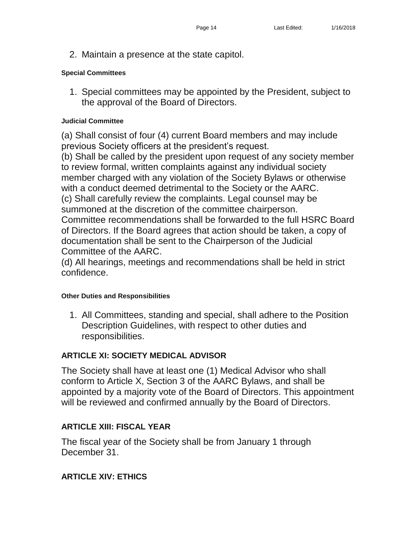2. Maintain a presence at the state capitol.

### **Special Committees**

1. Special committees may be appointed by the President, subject to the approval of the Board of Directors.

### **Judicial Committee**

(a) Shall consist of four (4) current Board members and may include previous Society officers at the president's request.

(b) Shall be called by the president upon request of any society member to review formal, written complaints against any individual society member charged with any violation of the Society Bylaws or otherwise with a conduct deemed detrimental to the Society or the AARC. (c) Shall carefully review the complaints. Legal counsel may be

summoned at the discretion of the committee chairperson.

Committee recommendations shall be forwarded to the full HSRC Board of Directors. If the Board agrees that action should be taken, a copy of documentation shall be sent to the Chairperson of the Judicial Committee of the AARC.

(d) All hearings, meetings and recommendations shall be held in strict confidence.

### **Other Duties and Responsibilities**

1. All Committees, standing and special, shall adhere to the Position Description Guidelines, with respect to other duties and responsibilities.

# **ARTICLE XI: SOCIETY MEDICAL ADVISOR**

The Society shall have at least one (1) Medical Advisor who shall conform to Article X, Section 3 of the AARC Bylaws, and shall be appointed by a majority vote of the Board of Directors. This appointment will be reviewed and confirmed annually by the Board of Directors.

# **ARTICLE XIII: FISCAL YEAR**

The fiscal year of the Society shall be from January 1 through December 31.

# **ARTICLE XIV: ETHICS**